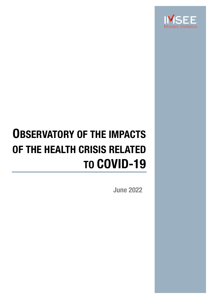

# OBSERVATORY OF THE IMPACTS OF THE HEALTH CRISIS RELATED TO COVID-19

June 2022 June 2022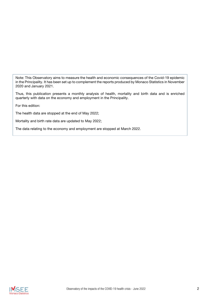Note: This Observatory aims to measure the health and economic consequences of the Covid-19 epidemic in the Principality. It has been set up to complement the reports produced by Monaco Statistics in November 2020 and January 2021.

Thus, this publication presents a monthly analysis of health, mortality and birth data and is enriched quarterly with data on the economy and employment in the Principality.

For this edition:

The health data are stopped at the end of May 2022;

Mortality and birth rate data are updated to May 2022;

The data relating to the economy and employment are stopped at March 2022.

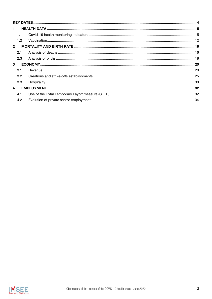| 1<br>2 <sup>1</sup><br>2.1<br>3.1<br>4.1 | 1.1<br>1.2<br>2.3<br>3.2<br>3.3<br>4.2 |
|------------------------------------------|----------------------------------------|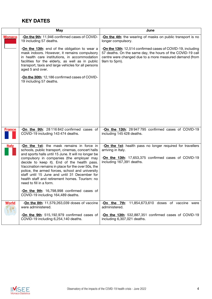# <span id="page-3-0"></span>KEY DATES

|               | <b>May</b>                                                                                                                                                                                                                                                                                                                                                                                                                                                                                                                                                                    | June                                                                                                                                                                                                 |
|---------------|-------------------------------------------------------------------------------------------------------------------------------------------------------------------------------------------------------------------------------------------------------------------------------------------------------------------------------------------------------------------------------------------------------------------------------------------------------------------------------------------------------------------------------------------------------------------------------|------------------------------------------------------------------------------------------------------------------------------------------------------------------------------------------------------|
| <b>Monaco</b> | -On the 9th: 11,946 confirmed cases of COVID-<br>19 including 57 deaths.                                                                                                                                                                                                                                                                                                                                                                                                                                                                                                      | -On the 4th: the wearing of masks on public transport is no<br>longer compulsory.                                                                                                                    |
|               | -On the 13th: end of the obligation to wear a<br>mask indoors. However, it remains compulsory<br>in health care institutions, in accommodation<br>facilities for the elderly, as well as in public<br>transport, taxis and large vehicles for all persons<br>aged 5 and over.                                                                                                                                                                                                                                                                                                 | -On the 13th: 12,514 confirmed cases of COVID-19, including<br>57 deaths. On the same day, the hours of the COVID-19 call<br>centre were changed due to a more measured demand (from<br>9am to 5pm). |
|               | -On the 30th: 12,186 confirmed cases of COVID-<br>19 including 57 deaths.                                                                                                                                                                                                                                                                                                                                                                                                                                                                                                     |                                                                                                                                                                                                      |
| <b>France</b> | -On the 9th: 28116842 confirmed cases of<br>COVID-19 including 143 474 deaths.                                                                                                                                                                                                                                                                                                                                                                                                                                                                                                | -On the 13th: 28947795 confirmed cases of COVID-19<br>including 145 428 deaths.                                                                                                                      |
| <b>Italy</b>  | -On the 1st: the mask remains in force in<br>schools, public transport, cinemas, concert halls<br>and sports halls until 15 June. It will no longer be<br>compulsory in companies (the employer may<br>decide to keep it). End of the health pass.<br>Vaccination remains in place for the over 50s, the<br>police, the armed forces, school and university<br>staff until 15 June and until 31 December for<br>health staff and retirement homes. Tourism: no<br>need to fill in a form.<br>-On the 9th: 16,798,998 confirmed cases of<br>COVID-19 including 164,489 deaths. | -On the 1st: health pass no longer required for travellers<br>arriving in Italy.<br>-On the 13th: 17,653,375 confirmed cases of COVID-19<br>including 167,391 deaths.                                |
| <b>World</b>  | -On the 8th: 11,579,263,039 doses of vaccine<br>were administered.<br>-On the 9th: 515,192,979 confirmed cases of<br>COVID-19 including 6,254,140 deaths.                                                                                                                                                                                                                                                                                                                                                                                                                     | -On the 7th: 11,854,673,610 doses of vaccine were<br>administered.<br>-On the 13th: 532,887,351 confirmed cases of COVID-19<br>including 6,307,021 deaths.                                           |
|               |                                                                                                                                                                                                                                                                                                                                                                                                                                                                                                                                                                               |                                                                                                                                                                                                      |

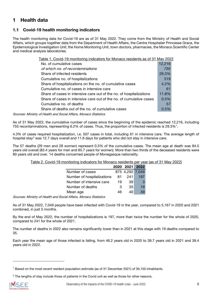# <span id="page-4-0"></span>1 Health data

# <span id="page-4-1"></span>1.1 Covid-19 health monitoring indicators

The health monitoring data for Covid-19 are as of 31 May 2022. They come from the Ministry of Health and Social Affairs, which groups together data from the Department of Health Affairs, the Centre Hospitalier Princesse Grace, the Epidemiological Investigation Unit, the Home Monitoring Unit, town doctors, pharmacies, the Monaco Scientific Center and medical analysis laboratories.

| Table 1. Covid-19 monitoring indicators for Monaco residents as of 31 May 2022 |  |  |
|--------------------------------------------------------------------------------|--|--|
|                                                                                |  |  |

| No. of cumulative cases                                             | 12,216 |
|---------------------------------------------------------------------|--------|
| of which no. of recontaminations                                    | 755    |
| Share of infected residents                                         | 29.3%  |
| Cumulative no. of hospitalizations                                  | 519    |
| Share of hospitalizations on the no. of cumulative cases            | 4.2%   |
| Cumulative no. of cases in intensive care                           | 61     |
| Share of cases in intensive care out of the no. of hospitalizations | 11.8%  |
| Share of cases in intensive care out of the no. of cumulative cases | 0.5%   |
| Cumulative no. of deaths                                            | 57     |
| Share of deaths out of the no. of cumulative cases                  | 0.5%   |
|                                                                     |        |

Sources: Ministry of Health and Social Affairs, Monaco Statistics

As of 31 May 2022, the cumulative number of cases since the beginning of the epidemic reached 12,216, including 755 recontaminations, representing 6.2% of cases. Thus, the proportion of infected residents is 29.3%<sup>[1](#page-4-2)</sup>.

4.3% of cases required hospitalization, i.e. 507 cases in total, including 61 in intensive care. The average length of hospital stay<sup>[2](#page-4-3)</sup> was 12.7 days overall and 11.6 days for patients who did not stay in intensive care.

The 57 deaths (29 men and 28 women) represent 0.5% of the cumulative cases. The mean age at death was 84.5 years old overall (83.4 years for men and 85.7 years for women). More than two thirds of the deceased residents were 80 years old and over. 14 deaths concerned people of Monegasque nationality.

Table 2. Covid-19 monitoring indicators for Monaco residents per year (as of 31 May 2022)

|                            |    |     | 2020 2021 2022  |
|----------------------------|----|-----|-----------------|
| Number of cases            |    |     | 875 4,292 7,049 |
| Number of hospitalizations | 81 | 241 | 197             |
| Number of intensive care   | 19 | 39  | $\mathcal{B}$   |
| Number of deaths           | З  | 35  | 19              |
| Mean age                   | 46 | 40  | 39              |

Sources: Ministry of Health and Social Affairs, Monaco Statistics

As of 31 May 2022, 7,049 people have been infected with Covid-19 in the year, compared to 5,167 in 2020 and 2021 combined, in just 5 months.

By the end of May 2022, the number of hospitalizations is 197, more than twice the number for the whole of 2020, compared to 241 for the whole of 2021.

The number of deaths in 2022 also remains significantly lower than in 2021 at this stage with 19 deaths compared to 35.

Each year the mean age of those infected is falling, from 46.2 years old in 2020 to 39.7 years old in 2021 and 39.4 years old in 2022.

<span id="page-4-3"></span><span id="page-4-2"></span> $2$  The lengths of stay include those of patients in the Covid unit as well as those for other reasons.



<sup>1</sup> Based on the most recent resident population estimate (as of 31 December 2021) of 39,150 inhabitants.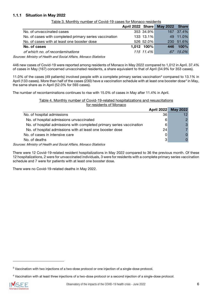## 1.1.1 Situation in May 2022

Table 3. Monthly number of Covid-19 cases for Monaco residents

Sources: Ministry of Health and Social Affairs, Monaco Statistics

446 new cases of Covid-19 were reported among residents of Monaco in May 2022 compared to 1,012 in April. 37.4% of cases in May (167) concerned unvaccinated residents, a share equivalent to that of April (34.9% for 353 cases).

11.0% of the cases (49 patients) involved people with a complete primary series vaccination<sup>[3](#page-5-0)</sup> compared to 13.1% in April (133 cases). More than half of the cases (230) have a vaccination schedule with at least one booster dose<sup>[4](#page-5-1)</sup> in May, the same share as in April (52.0% for 593 cases).

The number of recontaminations continues to rise with 15.0% of cases in May after 11.4% in April.

#### Table 4. Monthly number of Covid-19-related hospitalizations and resuscitations for residents of Monaco

|                                                                      |    | April 2022 May 2022 |
|----------------------------------------------------------------------|----|---------------------|
| No. of hospital admissions                                           | 36 |                     |
| No. of hospital admissions unvaccinated                              | 6  |                     |
| No. of hospital admissions with completed primary series vaccination | 6  | 3                   |
| No. of hospital admissions with at least one booster dose            | 24 |                     |
| No. of cases in intensive care                                       |    |                     |
| No. of deaths                                                        | 3  |                     |
|                                                                      |    |                     |

Sources: Ministry of Health and Social Affairs, Monaco Statistics

There were 12 Covid-19-related resident hospitalizations in May 2022 compared to 36 the previous month. Of these 12 hospitalizations, 2 were for unvaccinated individuals, 3 were for residents with a complete primary series vaccination schedule and 7 were for patients with at least one booster dose.

There were no Covid-19-related deaths in May 2022.

<span id="page-5-1"></span><span id="page-5-0"></span><sup>&</sup>lt;sup>4</sup> Vaccination with at least three injections of a two-dose protocol or a second injection of a single-dose protocol.



<sup>&</sup>lt;sup>3</sup> Vaccination with two injections of a two-dose protocol or one injection of a single-dose protocol.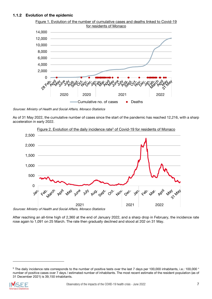# 1.1.2 Evolution of the epidemic



Sources: Ministry of Health and Social Affairs, Monaco Statistics

As of 31 May 2022, the cumulative number of cases since the start of the pandemic has reached 12,216, with a sharp acceleration in early 2022.



Figure 2. Evolution of the daily incidence rate<sup>[5](#page-6-0)</sup> of Covid-19 for residents of Monaco

After reaching an all-time high of 2,360 at the end of January 2022, and a sharp drop in February, the incidence rate rose again to 1,091 on 25 March. The rate then gradually declined and stood at 202 on 31 May.

<span id="page-6-0"></span> $5$  The daily incidence rate corresponds to the number of positive tests over the last 7 days per 100,000 inhabitants, i.e.: 100,000  $^*$ number of positive cases over 7 days / estimated number of inhabitants. The most recent estimate of the resident population (as of 31 December 2021) is 39,150 inhabitants.

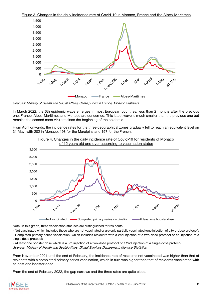

Figure 3. Changes in the daily incidence rate of Covid-19 in Monaco, France and the Alpes-Maritimes

Sources: Ministry of Health and Social Affairs, Santé publique France, Monaco Statistics

In March 2022, the 6th epidemic wave emerges in most European countries, less than 2 months after the previous one. France, Alpes-Maritimes and Monaco are concerned. This latest wave is much smaller than the previous one but remains the second most virulent since the beginning of the epidemic.

From April onwards, the incidence rates for the three geographical zones gradually fell to reach an equivalent level on 31 May, with 202 in Monaco, 198 for the Maralpins and 197 for the French.



Figure 4. Changes in the daily incidence rate of Covid-19 for residents of Monaco

Note: In this graph, three vaccination statuses are distinguished for residents:

- Not vaccinated which includes those who are not vaccinated or are only partially vaccinated (one injection of a two-dose protocol);

- Completed primary series vaccination, which includes residents with a 2nd injection of a two-dose protocol or an injection of a single dose protocol;

- At least one booster dose which is a 3rd injection of a two-dose protocol or a 2nd injection of a single-dose protocol. Sources: Ministry of Health and Social Affairs, Digital Services Department, Monaco Statistics

From November 2021 until the end of February, the incidence rate of residents not vaccinated was higher than that of residents with a completed primary series vaccination, which in turn was higher than that of residents vaccinated with at least one booster dose.

From the end of February 2022, the gap narrows and the three rates are quite close.

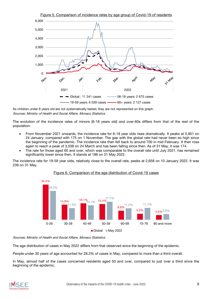

As children under 6 years old are not systematically tested, they are not represented on this graph. Sources: Ministry of Health and Social Affairs, Monaco Statistics

The evolution of the incidence rates of minors (6-18 years old) and over-60s differs from that of the rest of the population:

- From November 2021 onwards, the incidence rate for 6-18 year olds rises dramatically. It peaks at 5,901 on 24 January, compared with 175 on 1 November. The gap with the global rate had never been so high since the beginning of the pandemic. The incidence rate then fell back to around 700 in mid-February. It then rose again to reach a peak of 3,038 on 24 March and has been falling since then. As of 31 May, it was 174.
- The rate for those aged 60 and over, which was comparable to the overall rate until July 2021, has remained significantly lower since then. It stands at 186 on 31 May 2022.

The incidence rate for 19-59 year olds, relatively close to the overall rate, peaks at 2,658 on 10 January 2022. It was 239 on 31 May.



#### Figure 6. Comparison of the age distribution of Covid-19 cases

Sources: Ministry of Health and Social Affairs, Monaco Statistics

The age distribution of cases in May 2022 differs from that observed since the beginning of the epidemic.

People under 30 years of age accounted for 28.3% of cases in May, compared to more than a third overall.

In May, almost half of the cases concerned residents aged 50 and over, compared to just over a third since the beginning of the epidemic.

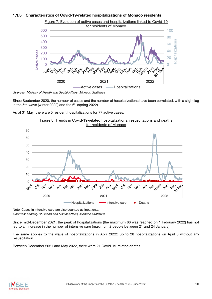#### 1.1.3 Characteristics of Covid-19-related hospitalizations of Monaco residents



Sources: Ministry of Health and Social Affairs, Monaco Statistics

Since September 2020, the number of cases and the number of hospitalizations have been correlated, with a slight lag in the 5th wave (winter 2022) and the  $6<sup>th</sup>$  (spring 2022).

As of 31 May, there are 5 resident hospitalizations for 77 active cases.



Figure 8. Trends in Covid-19-related hospitalizations, resuscitations and deaths

Note: Cases in intensive care are also counted as inpatients. Sources: Ministry of Health and Social Affairs, Monaco Statistics

Since mid-December 2021, the peak of hospitalizations (the maximum 66 was reached on 1 February 2022) has not led to an increase in the number of intensive care (maximum 2 people between 21 and 24 January).

The same applies to the wave of hospitalizations in April 2022: up to 28 hospitalizations on April 6 without any resuscitation.

Between December 2021 and May 2022, there were 21 Covid-19-related deaths.

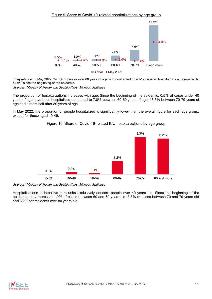#### Figure 9. Share of Covid-19-related hospitalizations by age group



Interpretation: in May 2022, 24.0% of people over 80 years of age who contracted covid-19 required hospitalization, compared to 44.6% since the beginning of the epidemic.

Sources: Ministry of Health and Social Affairs, Monaco Statistics

The proportion of hospitalizations increases with age. Since the beginning of the epidemic, 0.5% of cases under 40 years of age have been hospitalized compared to 7.0% between 60-69 years of age, 13.6% between 70-79 years of age and almost half after 80 years of age.

In May 2022, the proportion of people hospitalized is significantly lower than the overall figure for each age group, except for those aged 40-49.



#### Figure 10. Share of Covid-19-related ICU hospitalizations by age group

Sources: Ministry of Health and Social Affairs, Monaco Statistics

Hospitalizations in intensive care units exclusively concern people over 40 years old. Since the beginning of the epidemic, they represent 1.2% of cases between 60 and 69 years old, 3.3% of cases between 70 and 79 years old and 3.2% for residents over 80 years old.

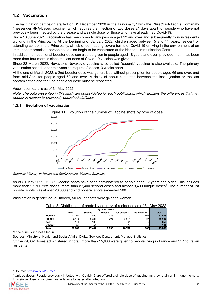# <span id="page-11-0"></span>1.2 Vaccination

The vaccination campaign started on 31 December 2020 in the Principality<sup>[6](#page-11-1)</sup> with the Pfizer/BioNTech's Comirnaty (messenger RNA-based vaccine), which requires the injection of two doses 21 days apart for people who have not previously been infected by the disease and a single dose for those who have already had Covid-19.

Since 10 June 2021, vaccination has been open to any person aged 12 and over and subsequently to non-residents working in the Principality. At the beginning of January 2022, children aged between 5 and 11 years, resident or attending school in the Principality, at risk of contracting severe forms of Covid-19 or living in the environment of an immunocompromised person could also begin to be vaccinated at the National Immunisation Centre.

In addition, an additional booster dose can also be given to people aged 18 years and over, provided that it has been more than four months since the last dose of Covid-19 vaccine was given.

Since 22 March 2022, Novavax's Nuvaxovid vaccine (a so-called "subunit" vaccine) is also available. The primary vaccination schedule for this vaccine requires 2 doses, 3 weeks apart.

At the end of March 2022, a 2nd booster dose was generalised without prescription for people aged 65 and over, and from mid-April for people aged 60 and over. A delay of about 4 months between the last injection or the last contamination and the 2nd additional dose must be respected.

Vaccination data is as of 31 May 2022.

Note: The data presented in this study are consolidated for each publication, which explains the differences that may appear in relation to previously published statistics.

# 1.2.1 Evolution of vaccination



Sources: Ministry of Health and Social Affairs, Monaco Statistics

As of 31 May 2022, 79,832 vaccine shots have been administered to people aged 12 years and older. This includes more than 2[7](#page-11-2),700 first doses, more than 27,400 second doses and almost 3,400 unique doses<sup>7</sup>. The number of 1st booster shots was almost 20,800 and 2nd booster shots exceeded 500.

Vaccination is gender-equal. Indeed, 50.6% of shots were given to women.

| Table 5. Distribution of shots by country of residence as of 31 May 2022 |  |  |
|--------------------------------------------------------------------------|--|--|
|                                                                          |  |  |

|               | Type of doses |        |        |             |             |              |  |
|---------------|---------------|--------|--------|-------------|-------------|--------------|--|
|               | First         | Second | Unique | 1st booster | 2nd booster | <b>Total</b> |  |
| <b>Monaco</b> | 22.067        | 21.890 | 2.086  | 17.179      | 466         | 63,688       |  |
| <b>France</b> | 5.473         | 5.324  | 1.295  | 3.517       | 37          | 15,646       |  |
| Italy         | 141           | 136    | 16     | 64          |             | 357          |  |
| Others*       | 58            | 54     |        | 27          |             | 141          |  |
| Total         | 27,739        | 27.404 | 3.399  | 20,787      | 503         | 79,832       |  |

\*Others including not filled in

Sources: Ministry of Health and Social Affairs, Digital Services Department, Monaco Statistics

Of the 79,832 doses administered in total, more than 15,600 were given to people living in France and 357 to Italian residents.

<span id="page-11-2"></span><span id="page-11-1"></span><sup>7</sup> Unique doses: People previously infected with Covid-19 are offered a single dose of vaccine, as they retain an immune memory. This single dose of vaccine thus acts as a booster after infection.



<sup>6</sup> Source:<https://covid19.mc/>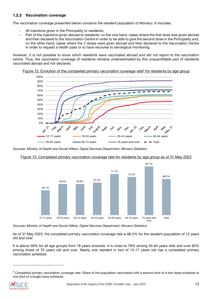# 1.2.2 Vaccination coverage

The vaccination coverage presented below concerns the resident population of Monaco. It includes:

- All injections given in the Principality to residents:
- Part of the injections given abroad to residents: on the one hand, cases where the first dose was given abroad and then declared to the Vaccination Centre in order to be able to give the second dose in the Principality and, on the other hand, cases where the 2 doses were given abroad and then declared to the Vaccination Centre in order to request a health pass or to have recourse to serological monitoring.

However, it is not possible to know which residents were vaccinated abroad and did not report to the vaccination centre. Thus, the vaccination coverage of residents remains underestimated by this unquantifiable part of residents vaccinated abroad and not declared.



Figure 12. Evolution of the completed primary vaccination coverage rate<sup>[8](#page-12-0)</sup> for residents by age group

Sources: Ministry of Health and Social Affairs, Digital Services Department, Monaco Statistics





Sources: Ministry of Health and Social Affairs, Digital Services Department, Monaco Statistics

As of 31 May 2022, the completed primary vaccination coverage rate is 68.2% for the resident population of 12 years old and over.

It is above 58% for all age groups from 18 years onwards. It is close to 78% among 55-64 years olds and over 92% among those of 75 years old and over. Nearly one resident in two of 12-17 years old has a completed primary vaccination schedule.

<span id="page-12-0"></span><sup>8</sup> Completed primary vaccination coverage rate: Share of the population vaccinated with a second shot of a two-dose schedule or one shot of a single-dose schedule.

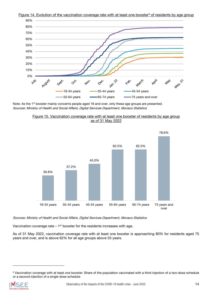

Figure 14. Evolution of the vaccination coverage rate with at least one booster<sup>[9](#page-13-0)</sup> of residents by age group

Note: As the 1<sup>st</sup> booster mainly concerns people aged 18 and over, only these age groups are presented. Sources: Ministry of Health and Social Affairs, Digital Services Department, Monaco Statistics





Sources: Ministry of Health and Social Affairs, Digital Services Department, Monaco Statistics

Vaccination coverage rate  $-1$ <sup>st</sup> booster for the residents increases with age.

As of 31 May 2022, vaccination coverage rate with at least one booster is approaching 80% for residents aged 75 years and over, and is above 62% for all age groups above 55 years.

<span id="page-13-0"></span><sup>9</sup> Vaccination coverage with at least one booster: Share of the population vaccinated with a third injection of a two-dose schedule or a second injection of a single-dose schedule

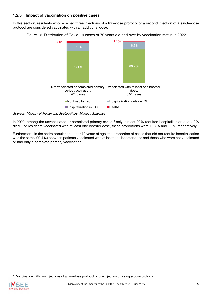# 1.2.3 Impact of vaccination on positive cases

In this section, residents who received three injections of a two-dose protocol or a second injection of a single-dose protocol are considered vaccinated with an additional dose.





Sources: Ministry of Health and Social Affairs, Monaco Statistics

In 2022, among the unvaccinated or completed primary series<sup>[10](#page-14-0)</sup> only, almost 20% required hospitalisation and 4.0% died. For residents vaccinated with at least one booster dose, these proportions were 18.7% and 1.1% respectively.

Furthermore, in the entire population under 70 years of age, the proportion of cases that did not require hospitalisation was the same (99.4%) between patients vaccinated with at least one booster dose and those who were not vaccinated or had only a complete primary vaccination.

<span id="page-14-0"></span><sup>&</sup>lt;sup>10</sup> Vaccination with two injections of a two-dose protocol or one injection of a single-dose protocol.

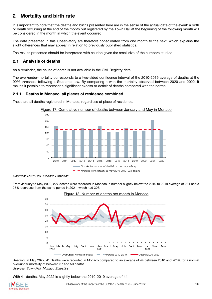# <span id="page-15-0"></span>2 Mortality and birth rate

It is important to note that the deaths and births presented here are in the sense of the actual date of the event: a birth or death occurring at the end of the month but registered by the Town Hall at the beginning of the following month will be considered in the month in which the event occurred.

The data presented in this Observatory are therefore consolidated from one month to the next, which explains the slight differences that may appear in relation to previously published statistics.

The results presented should be interpreted with caution given the small size of the numbers studied.

# <span id="page-15-1"></span>2.1 Analysis of deaths

As a reminder, the cause of death is not available in the Civil Registry data.

The over/under-mortality corresponds to a two-sided confidence interval of the 2010-2019 average of deaths at the 99% threshold following a Student's law. By comparing it with the mortality observed between 2020 and 2022, it makes it possible to represent a significant excess or deficit of deaths compared with the normal.

#### 2.1.1 Deaths in Monaco, all places of residence combined



These are all deaths registered in Monaco, regardless of place of residence.

Sources: Town Hall, Monaco Statistics

From January to May 2022, 227 deaths were recorded in Monaco, a number slightly below the 2010 to 2019 average of 231 and a 25% decrease from the same period in 2021, which had 303.



Reading: in May 2022, 41 deaths were recorded in Monaco compared to an average of 44 between 2010 and 2019, for a normal over/under mortality of between 37 and 50 deaths. Sources: Town Hall, Monaco Statistics

With 41 deaths, May 2022 is slightly below the 2010-2019 average of 44.

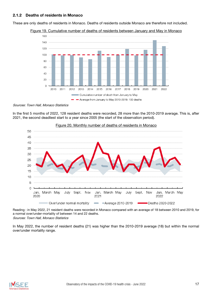#### 2.1.2 Deaths of residents in Monaco

These are only deaths of residents in Monaco. Deaths of residents outside Monaco are therefore not included.



Figure 19. Cumulative number of deaths of residents between January and May in Monaco

Sources: Town Hall, Monaco Statistics

In the first 5 months of 2022, 128 resident deaths were recorded, 28 more than the 2010-2019 average. This is, after 2021, the second deadliest start to a year since 2005 (the start of the observation period).



Figure 20. Monthly number of deaths of residents in Monaco

Reading : in May 2022, 21 resident deaths were recorded in Monaco compared with an average of 18 between 2010 and 2019, for a normal over/under-mortality of between 14 and 22 deaths. Sources: Town Hall, Monaco Statistics

In May 2022, the number of resident deaths (21) was higher than the 2010-2019 average (18) but within the normal over/under mortality range.

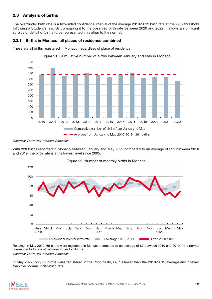# <span id="page-17-0"></span>2.3 Analysis of births

The over/under birth rate is a two-sided confidence interval of the average 2010-2019 birth rate at the 99% threshold following a Student's law. By comparing it to the observed birth rate between 2020 and 2022, it allows a significant surplus or deficit of births to be represented in relation to the normal.

# 2.3.1 Births in Monaco, all places of residence combined

These are all births registered in Monaco, regardless of place of residence.



Figure 21. Cumulative number of births between January and May in Monaco

With 328 births recorded in Monaco between January and May 2022 compared to an average of 391 between 2010 and 2019, the birth rate is at its lowest level since 2005.



# Figure 22. Number of monthly births in Monaco

Reading: in May 2022, 69 births were registered in Monaco compared to an average of 87 between 2010 and 2019, for a normal over/under birth rate of between 76 and 97 births. Sources: Town Hall, Monaco Statistics

In May 2022, only 69 births were registered in the Principality, i.e. 18 fewer than the 2010-2019 average and 7 fewer than the normal under-birth rate.



Sources: Town Hall, Monaco Statistics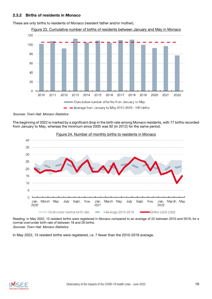#### 2.3.2 Births of residents in Monaco

 $120$ 100 80 60 40 20  $\overline{0}$ 2010 2011 2012 2013 2014 2015 2016 2017 2018 2019 2020 2021 2022 Cumulative number of births from January to May - Average from January to May 2010-2019: 105 births

These are only births to residents of Monaco (resident father and/or mother).

Figure 23. Cumulative number of births of residents between January and May in Monaco

Sources: Town Hall, Monaco Statistics

The beginning of 2022 is marked by a significant drop in the birth rate among Monaco residents, with 77 births recorded from January to May, whereas the minimum since 2005 was 92 (in 2012) for the same period.



Figure 24. Number of monthly births to residents in Monaco

Reading: in May 2022, 15 resident births were registered in Monaco compared to an average of 22 between 2010 and 2019, for a normal over/under birth rate of between 18 and 26 births.

Sources: Town Hall, Monaco Statistics

In May 2022, 15 resident births were registered, i.e. 7 fewer than the 2010-2019 average.

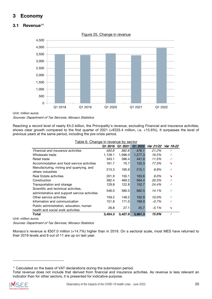# <span id="page-19-0"></span>3 Economy

# <span id="page-19-1"></span>3.1 Revenue<sup>[11](#page-19-2)</sup>



Figure 25. Change in revenue

Unit: million euros

Sources: Department of Tax Services, Monaco Statistics

Reaching a record level of nearly €4.0 billion, the Principality's revenue, excluding Financial and insurance activities, shows clear growth compared to the first quarter of 2021 (+€533.4 million, i.e. +15.6%). It surpasses the level of previous years at the same period, including the pre-crisis period.

| rable 0. Originge in revenue by sector                                                |              |         |         |           |                         |  |
|---------------------------------------------------------------------------------------|--------------|---------|---------|-----------|-------------------------|--|
|                                                                                       | Q1 2019      | Q1 2021 | Q1 2022 | Var 21/22 | Var 19-22               |  |
| Financial and insurance activities                                                    | <i>450.8</i> | 392.8   | 476.1   | 21.2%     | л                       |  |
| Wholesale trade                                                                       | 1,128.1      | 1,096.0 | 1,277.3 | 16.5%     | л                       |  |
| Retail trade                                                                          | 343.1        | 396.4   | 441.9   | 11.5%     | л                       |  |
| Accommodation and food service activities                                             | 161.7        | 70.7    | 125.3   | 77.3%     | N                       |  |
| Manufacturing, mining and quarrying, and<br>others industries                         | 213.3        | 195.9   | 215.1   | 9.8%      | л                       |  |
| <b>Real Estate activities</b>                                                         | 201.9        | 150.1   | 163.6   | 9.0%      | N                       |  |
| Construction                                                                          | 392.4        | 469.2   | 564.4   | 20.3%     | л                       |  |
| Transportation and storage                                                            | 129.8        | 122.8   | 152.7   | 24.4%     | π                       |  |
| Scientific and technical activities,<br>administrative and support service activities | 546.0        | 580.5   | 662.5   | 14.1%     | л                       |  |
| Other service activities                                                              | 159.2        | 148.2   | 162.9   | 10.0%     | л                       |  |
| Information and communication                                                         | 151.8        | 171.0   | 169.9   | -0.7%     | π                       |  |
| Public administration, education, human<br>health and social work activities          | 26.8         | 27.1    | 25.7    | -5.1%     | N                       |  |
| Total                                                                                 | 3.454.3      | 3,427.9 | 3.961.3 | 15.6%     | $\overline{\mathbf{z}}$ |  |

# Table 6. Change in revenue by sector

Unit: million euros

Sources: Department of Tax Services, Monaco Statistics

Monaco's revenue is €507.0 million (+14.7%) higher than in 2019. On a sectoral scale, most MES have returned to their 2019 levels and 9 out of 11 are up on last year.

<span id="page-19-2"></span>Total revenue does not include that derived from financial and insurance activities. As revenue is less relevant an indicator than for other sectors, it is presented for indicative purpose.



<sup>&</sup>lt;sup>11</sup> Calculated on the basis of VAT declarations during the submission period.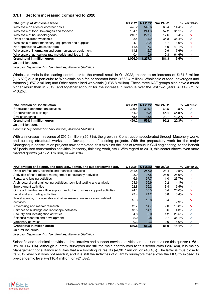# 3.1.1 Sectors increasing compared to 2020

| NAF group of Wholesale trade                             | Q1 2021 | Q1 2022 | Var 21/22 |         | % Var 19-22 |
|----------------------------------------------------------|---------|---------|-----------|---------|-------------|
| Wholesale on a fee or contract basis                     | 475.2   | 543.6   | 68.4      | 14.4%   | л.          |
| Wholesale of food, beverages and tobacco                 | 184.1   | 241.3   | 57.2      | 31.1%   | л           |
| Wholesale of household goods                             | 210.1   | 227.7   | 17.6      | 8.4%    | ×.          |
| Other specialised wholesale                              | 98.4    | 134.2   | 35.8      | 36.4%   |             |
| Wholesale of other machinery, equipment and supplies     | 104.1   | 100.4   | $-3.7$    | $-3.6%$ | ↘           |
| Non-specialised wholesale trade                          | 11.8    | 16.7    | 4.9       | 41.1%   | N           |
| Wholesale of information and communication equipment     | 11.8    | 12.7    | 0.9       | 7.6%    | л           |
| Wholesale of agricultural raw materials and live animals | 0.4     | 0.6     | 0.3       | 64.6%   | ¥           |
| <b>Grand total in million euros</b>                      | 1.096.0 | 1.277.3 | 181.3     | 16.5%   | л           |
| Unit: million euros                                      |         |         |           |         |             |

Sources: Department of Tax Services, Monaco Statistics

Wholesale trade is the leading contributor to the overall result in Q1 2022, thanks to an increase of €181.3 million (+16.5%) due in particular to Wholesale on a fee or contract basis (+€68.4 million), Wholesale of food, beverages and tobacco (+€57.2 million) and Other specialised wholesale (+€35.8 million). These three NAF groups also have a much higher result than in 2019, and together account for the increase in revenue over the last two years (+€149.2m, or +13.2%).

| <b>NAF division of Construction</b> | Q1 2021 | Q1 2022 | Var 21/22 |           | % Var 19-22 |
|-------------------------------------|---------|---------|-----------|-----------|-------------|
| Specialised construction activities | 326.6   | 391.2   | 64.6      | 19.8%     |             |
| Construction of buildings           | 84.0    | 139.4   | 55.4      | 65.9%     |             |
| Civil engineering                   | 58.6    | 33.8    | -24.7     | $-42.2\%$ |             |
| <b>Grand total in million euros</b> | 469.2   | 564.4   | 95.2      | 20.3%     |             |
| Unit: million euros                 |         |         |           |           |             |

Sources: Department of Tax Services, Monaco Statistics

With an increase in revenue of €95.2 million (+20.3%), the growth in Construction accelerated through Masonery works and building structural works, and Development of building projects. With the preparatory work for the major Monegasque construction projects now completed, this explains the loss of revenue in Civil engineering, to the benefit of Specialised construction activities (masonry, finishing work, etc.). With regard to 2019, this sector shows even more marked growth  $(+£172.0$  million, or  $+43.8\%$ ).

| NAF division of Scientif. and tech. act., admin. and support service act.            | Q1 2021 | Q1 2022 | Var 21/22 |       | % Var 19-22 |
|--------------------------------------------------------------------------------------|---------|---------|-----------|-------|-------------|
| Other professional, scientific and technical activities                              | 231.5   | 256.0   | 24.4      | 10.5% | л           |
| Activities of head offices; management consultancy activities                        | 98.9    | 127.5   | 28.6      | 28.9% | N           |
| Rental and leasing activities                                                        | 46.6    | 57.7    | 11.0      | 23.7% | N           |
| Architectural and engineering activities; technical testing and analysis             | 54.6    | 56.9    | 2.2       | 4.1%  | л           |
| Employment activities                                                                | 52.8    | 56.2    | 3.4       | 6.5%  | ж           |
| Office administrative, office support and other business support activities          | 24.1    | 30.5    | 6.4       | 26.6% | ¥           |
| Legal and accounting activities                                                      | 23.4    | 24.2    | 0.8       | 3.4%  | ¥           |
| Travel agency, tour operator and other reservation service and related<br>activities | 15.3    | 15.8    | 0.4       | 2.9%  | N           |
| Advertising and market research                                                      | 12.7    | 14.7    | 2.0       | 15.8% | N           |
| Services to buildings and landscape activities                                       | 13.5    | 14.1    | 0.6       | 4.3%  | л           |
| Security and investigation activities                                                | 4.8     | 6.0     | 1.2       | 25.5% | л           |
| Scientific research and development                                                  | 2.0     | 2.8     | 0.7       | 36.1% | л           |
| Veterinary activities                                                                | 0.3     | 0.3     | 0.0       | 8.0%  | 2           |
| <b>Grand total in million euros</b>                                                  | 580.5   | 662.5   | 81.9      | 14.1% | л           |
| Unit: million euros                                                                  |         |         |           |       |             |

Sources: Department of Tax Services, Monaco Statistics

Scientific and technical activities, administrative and support service activities are back on the rise this quarter (+€81. 9m, or +14.1%). Although quantity surveyors are still the main contributors to this sector (with  $\epsilon$ 207.4m), it is mainly Management consultancy activities that are boosting its results (+€30.7 million, or +43.4%). The latter is thus close to its 2019 level but does not reach it, and it is still the Activities of quantity surveyors that allows the MES to exceed its pre-pandemic level (+€116.4 million, or +21.3%).

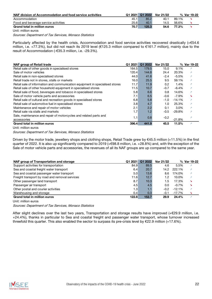| NAF division of Accommodation and food service activities |      | Q1 2021 Q1 2022 | Var 21/22 |       | % Var 19-22 |
|-----------------------------------------------------------|------|-----------------|-----------|-------|-------------|
| Accommodation                                             | 45.1 | 85.2            | 40.1      | 89.1% |             |
| Food and beverage service activities                      | 25.6 | 40.1            | 14.5      | 56.6% |             |
| <b>Grand total in million euros</b>                       | 70.7 | 125.3           | 54.6      | 77.3% |             |
| Unit: million euros                                       |      |                 |           |       |             |

Sources: Department of Tax Services, Monaco Statistics

Particularly affected by the health crisis, Accommodation and food service activities recovered drastically (+€54.6 million, i.e. +77.3%), but did not reach its 2019 level (€125.3 million compared to €161.7 million), mainly due to the result of Accommodation (-€35.3 million, i.e. -29.3%).

| NAF group of Retail trade                                                    | Q1 2021 | Q1 2022 | Var 21/22 |          | % Var 19-22 |
|------------------------------------------------------------------------------|---------|---------|-----------|----------|-------------|
| Retail sale of other goods in specialised stores                             | 164.5   | 179.5   | 15.0      | 9.1%     | л           |
| Sale of motor vehicles                                                       | 120.4   | 144.8   | 24.4      | 20.3%    | л           |
| Retail sale in non-specialised stores                                        | 44.0    | 41.6    | $-2.4$    | $-5.5%$  | л           |
| Retail trade not in stores, stalls or markets                                | 16.0    | 25.5    | 9.5       | 59.1%    | л           |
| Retail sale of information and communication equipment in specialised stores | 11.7    | 11.9    | 0.2       | 1.4%     | ж           |
| Retail sale of other household equipment in specialised stores               | 11.5    | 10.7    | $-0.7$    | $-6.4%$  | л           |
| Retail sale of food, beverages and tobacco in specialised stores             | 5.8     | 6.6     | 0.8       | 14.6%    | л           |
| Sale of motor vehicle parts and accessories                                  | 7.1     | 6.5     | -0.6      | $-7.9\%$ | ¥           |
| Retail sale of cultural and recreation goods in specialised stores           | 6.8     | 5.8     | $-1.0$    | $-14.1%$ | л           |
| Retail sale of automotive fuel in specialised stores                         | 3.8     | 4.7     | 1.0       | 25.3%    | ж           |
| Maintenance and repair of motor vehicles                                     | 2.1     | 2.2     | 0.1       | $3.0\%$  | л           |
| Retail sale via stalls and markets                                           | 1.7     | 1.2     | $-0.5$    | $-29.8%$ | л           |
| Sale, maintenance and repair of motorcycles and related parts and            | 1.1     | 0.8     | $-0.2$    |          | л           |
| accessories                                                                  |         |         |           | $-21.8%$ |             |
| <b>Grand total in million euros</b>                                          | 396.4   | 441.9   | 45.5      | 11.5%    | ж           |
| Unit: million euros                                                          |         |         |           |          |             |

Sources: Department of Tax Services, Monaco Statistics

Driven by the motor trade, jewellery shops and clothing shops, Retail Trade grew by €45.5 million (+11.5%) in the first quarter of 2022. It is also up significantly compared to 2019 (+€98.8 million, i.e. +28.8%) and, with the exception of the Sale of motor vehicle parts and accessories, the revenues of all its NAF groups are up compared to the same year.

| NAF group of Transportation and storage        | Q1 2021 | Q1 2022 | Var 21/22     |          | % Var 19-22 |
|------------------------------------------------|---------|---------|---------------|----------|-------------|
| Support activities for transportation          | 84.9    | 89.5    | 4.6           | 5.5%     | л           |
| Sea and coastal freight water transport        | 6.4     | 20.7    | 14.2          | 222.1%   |             |
| Sea and coastal passenger water transport      | 5.0     | 13.6    | 8.6           | 174.0%   | л           |
| Freight transport by road and removal services | 11.6    | 12.7    | $1.2^{\circ}$ | 10.0%    | л           |
| Other passenger land transport                 | 8.7     | 10.3    | 1.5           | 17.3%    | N.          |
| Passenger air transport                        | 4.5     | 4.5     | 0.0           | $-0.7\%$ | N.          |
| Other postal and courier activities            | 1.3     | 1.1     | $-0.2$        | $-12.1%$ | л           |
| Warehousing and storage                        | 0.4     | 0.3     | $-0.1$        | -17.7%   | ¥           |
| <b>Grand total in million euros</b>            | 122.8   | 152.7   | 29.9          | 24.4%    | л           |
| Unit: million euros                            |         |         |               |          |             |

Sources: Department of Tax Services, Monaco Statistics

After slight declines over the last two years, Transportation and storage results have improved (+€29.9 million, i.e. +24.4%), thanks in particular to Sea and coastal freight and passenger water transport, whose turnover increased threefold this quarter. This also enabled the sector to surpass its pre-crisis level by €22.9 million (+17.6%).

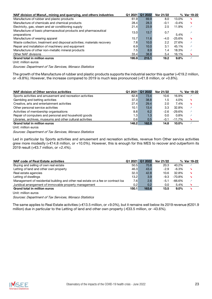| NAF division of Manuf., mining and quarrying, and others industries             | Q1 2021 | Q1 2022 | Var 21/22 |          | % Var 19-22 |
|---------------------------------------------------------------------------------|---------|---------|-----------|----------|-------------|
| Manufacture of rubber and plastic products                                      | 61.9    | 69.9    | 8.0       | 13.0%    | N.          |
| Manufacture of chemicals and chemical products                                  | 28.4    | 28.3    | $-0.1$    | $-0.4%$  | N.          |
| Electricity, gas, steam and air conditioning supply                             | 21.4    | 23.9    | 2.5       | 11.9%    | ж           |
| Manufacture of basic pharmaceutical products and pharmaceutical<br>preparations | 13.0    | 13.7    | 0.7       | 5.4%     | я           |
| Manufacture of wearing apparel                                                  | 15.7    | 11.6    | $-4.0$    | $-25.6%$ | N.          |
| Waste collection, treatment and disposal activities; materials recovery         | 7.8     | 10.0    | 2.2       | 27.6%    |             |
| Repair and installation of machinery and equipment                              | 6.9     | 10.0    | 3.1       | 45.1%    | я           |
| Manufacture of other non-metallic mineral products                              | 7.5     | 8.9     | 1.4       | 18.3%    |             |
| Other NAF divisions                                                             | 33.4    | 38.8    | 5.4       | 16.1%    | N.          |
| <b>Grand total in million euros</b>                                             | 195.9   | 215.1   | 19.2      | 9.8%     | ж           |
| Unit: million euros                                                             |         |         |           |          |             |

Sources: Department of Tax Services, Monaco Statistics

The growth of the Manufacture of rubber and plastic products supports the industrial sector this quarter (+€19.2 million, or +9.8%). However, the increase compared to 2019 is much less pronounced (+€1.8 million, or +0.8%).

| NAF division of Other service activities                   | Q1 2021 | Q1 2022 | Var 21/22 |           | % Var 19-22 |
|------------------------------------------------------------|---------|---------|-----------|-----------|-------------|
| Sports activities and amusement and recreation activities  | 62.8    | 73.4    | 10.6      | 16.9%     | л.          |
| Gambling and betting activities                            | 37.3    | 38.8    | 1.5       | 4.0%      | ↘           |
| Creative, arts and entertainment activities                | 27.4    | 29.4    | 2.0       | 7.4%      | `           |
| Other personal service activities                          | 10.1    | 13.4    | 3.3       | 32.8%     | л           |
| Activities of membership organisations                     | 8.8     | 6.2     | $-2.6$    | $-29.6\%$ | л.          |
| Repair of computers and personal and household goods       | 1.3     | 1.3     | 0.0       | $0.8\%$   | л           |
| Libraries, archives, museums and other cultural activities | 0.6     | 0.5     | $-0.1$    | $-11.7%$  | ¥.          |
| <b>Grand total in million euros</b>                        | 148.2   | 162.9   | 14.8      | $10.0\%$  | л           |
| Unit: million euros                                        |         |         |           |           |             |

Sources: Department of Tax Services, Monaco Statistics

Led in particular by Sports activities and amusement and recreation activities, revenue from Other service activities grew more modestly (+€14.8 million, or +10.0%). However, this is enough for this MES to recover and outperform its 2019 result (+€3.7 million, or +2.4%).

| NAF code of Real Estate activities                                               | Q1 2021 | Q1 2022 | Var 21/22 |           | % Var 19-22 |
|----------------------------------------------------------------------------------|---------|---------|-----------|-----------|-------------|
| Buying and selling of own real estate                                            | 50.5    | 70.8    | 20.3      | 40.2%     | ж           |
| Letting of land and other own property                                           | 46.3    | 43.4    | $-2.9$    | $-6.3\%$  | N.          |
| Real estate agencies                                                             | 32.3    | 42.8    | 10.6      | 32.8%     | N.          |
| Letting of dwellings                                                             | 13.2    | 3.9     | $-9.3$    | $-70.8\%$ | `           |
| Management of residential building and other real estate on a fee or contract ba | 7.6     | 2.6     | $-5.1$    | $-66.6\%$ | л           |
| Juridical arrangement of immovable property management                           | 0.2     | 0.2     | 0.0       | 5.4%      | `           |
| <b>Grand total in million euros</b>                                              | 150.1   | 163.6   | 13.5      | $9.0\%$   | N.          |
| Unit: million euros                                                              |         |         |           |           |             |

Sources: Department of Tax Services, Monaco Statistics

The same applies to Real Estate activities (+€13.5 million, or +9.0%), but it remains well below its 2019 revenue (€201.9 million) due in particular to the Letting of land and other own property (-€33.5 million, or -43.6%).

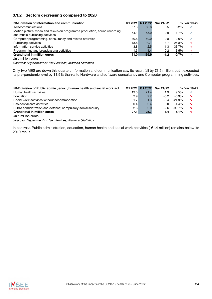# 3.1.2 Sectors decreasing compared to 2020

| NAF division of Information and communication                                                                 | Q1 2021 | Q1 2022 | Var 21/22 |           | % Var 19-22              |
|---------------------------------------------------------------------------------------------------------------|---------|---------|-----------|-----------|--------------------------|
| Telecommunications                                                                                            | 57.3    | 60.8    | 3.5       | 6.2%      | л                        |
| Motion picture, video and television programme production, sound recording<br>and music publishing activities | 54.1    | 55.0    | 0.9       | 1.7%      | л                        |
| Computer programming, consultancy and related activities                                                      | 40.8    | 40.0    | $-0.8$    | $-2.0\%$  | ж                        |
| Publishing activities                                                                                         | 13.8    | 10.1    | $-3.7$    | $-26.8\%$ | ↘                        |
| Information service activities                                                                                | 3.8     | 2.5     | $-1.3$    | $-33.7\%$ | N                        |
| Programming and broadcasting activities                                                                       | 1.3     | 1.4     | 0.2       | 13.5%     | ¥                        |
| <b>Grand total in million euros</b>                                                                           | 171.0   | 169.9   | $-1.2$    | $-0.7%$   | $\overline{\mathcal{B}}$ |
| Unit: million euros                                                                                           |         |         |           |           |                          |

Sources: Department of Tax Services, Monaco Statistics

Only two MES are down this quarter. Information and communication saw its result fall by  $\epsilon$ 1.2 million, but it exceeded its pre-pandemic level by 11.9% thanks to Hardware and software consultancy and Computer programming activities.

| NAF division of Public admin., educ., human health and social work act. | Q1 2021 | Q1 2022 | Var 21/22 |           | % Var 19-22 |
|-------------------------------------------------------------------------|---------|---------|-----------|-----------|-------------|
| Human health activities                                                 | 19.5    | 21.4    | 1.9       | 9.5%      |             |
| Education                                                               | 2.9     | 2.7     | $-0.2$    | $-6.3\%$  |             |
| Social work activities without accommodation                            | 1.7     | 1.3     | $-0.4$    | $-24.9\%$ |             |
| Residential care activities                                             | 0.4     | 0.4     | $0.0\,$   | -4.4%     |             |
| Public administration and defence; compulsory social security           | 2.6     | 0.0     | $-2.6$    | $-99.7\%$ |             |
| <b>Grand total in million euros</b>                                     | 27.1    | 25.7    | $-1.4$    | $-5.1\%$  | ↘           |
| Unit: million euros                                                     |         |         |           |           |             |

Sources: Department of Tax Services, Monaco Statistics

In contrast, Public administration, education, human health and social work activities (-€1.4 million) remains below its 2019 result.

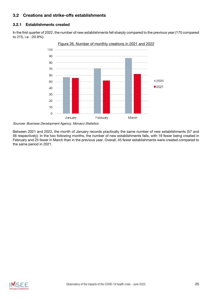# <span id="page-24-0"></span>3.2 Creations and strike-offs establishments

# 3.2.1 Establishments created

In the first quarter of 2022, the number of new establishments fell sharply compared to the previous year (170 compared to 215, i.e. -20.9%).



Figure 26. Number of monthly creations in 2021 and 2022

Sources: Business Development Agency, Monaco Statistics

Between 2021 and 2022, the month of January records practically the same number of new establishments (57 and 56 respectively). In the two following months, the number of new establishments falls, with 19 fewer being created in February and 25 fewer in March than in the previous year. Overall, 45 fewer establishments were created compared to the same period in 2021.

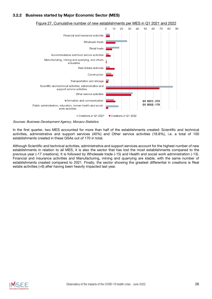# 3.2.2 Business started by Major Economic Sector (MES)



# Figure 27. Cumulative number of new establishments per MES in Q1 2021 and 2022

Sources: Business Development Agency, Monaco Statistics

In the first quarter, two MES accounted for more than half of the establishments created: Scientific and technical activities, administrative and support services (40%) and Other service activities (18.8%), i.e. a total of 100 establishments created in these GSAs out of 170 in total.

Although Scientific and technical activities, administrative and support services account for the highest number of new establishments in relation to all MES, it is also the sector that has lost the most establishments compared to the previous year (-17 creations). It is followed by Wholesale trade (-15) and Health and social work administration (-13). Financial and insurance activities and Manufacturing, mining and quarrying are stable, with the same number of establishments created compared to 2021. Finally, the sector showing the greatest differential in creations is Real estate activities (+6) after having been heavily impacted last year.

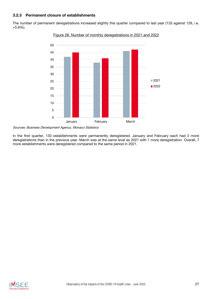## 3.2.3 Permanent closure of establishments

The number of permanent deregistrations increased slightly this quarter compared to last year (133 against 126, i.e. +5.6%).



Figure 28. Number of monthly deregistrations in 2021 and 2022

Sources: Business Development Agency, Monaco Statistics

In the first quarter, 133 establishments were permanently deregistered. January and February each had 3 more deregistrations than in the previous year. March was at the same level as 2021 with 1 more deregistration. Overall, 7 more establishments were deregistered compared to the same period in 2021.

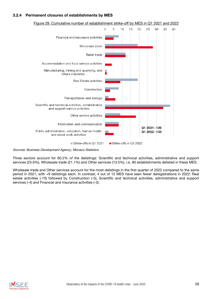# 3.2.4 Permanent closures of establishments by MES



# Figure 29. Cumulative number of establishment strike-off by MES in Q1 2021 and 2022

Sources: Business Development Agency, Monaco Statistics

Three sectors account for 60.2% of the delistings: Scientific and technical activities, administrative and support services (25.6%), Wholesale trade (21.1%) and Other services (13.5%), i.e. 80 establishments delisted in these MES.

Wholesale trade and Other services account for the most delistings in the first quarter of 2022 compared to the same period in 2021, with +9 delistings each. In contrast, 4 out of 12 MES have seen fewer deregistrations in 2022: Real estate activities (-10) followed by Construction (-5), Scientific and technical activities, administrative and support services (-4) and Financial and insurance activities (-3).

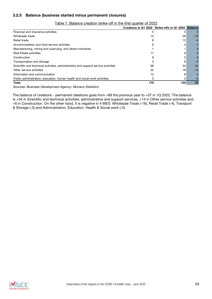## 3.2.5 Balance (business started minus permanent closures)

|                                                                                    |     | Creations in Q1 2022 Strike-offs in Q1 2022 Balance |       |
|------------------------------------------------------------------------------------|-----|-----------------------------------------------------|-------|
| Financial and insurance activities                                                 |     |                                                     |       |
| Wholesale trade                                                                    | 12  | 28                                                  | $-16$ |
| Retail trade                                                                       | 8   | 12                                                  |       |
| Accommodation and food service activities                                          | h   |                                                     |       |
| Manufacturing, mining and quarrying, and others industries                         |     |                                                     |       |
| Real Estate activities                                                             |     | 9                                                   |       |
| Construction                                                                       |     |                                                     |       |
| Transportation and storage                                                         |     | 6                                                   | -3    |
| Scientific and technical activities, administrative and support service activities | 68  | 34                                                  | 34    |
| Other service activities                                                           | 32  | 18                                                  | 14    |
| Information and communication                                                      | 12  | 8                                                   |       |
| Public administration, education, human health and social work activities          | 3   |                                                     |       |
| Total                                                                              | 170 | 133                                                 | 37    |
|                                                                                    |     |                                                     |       |

#### Table 7. Balance creation strike-off in the first quarter of 2022

Sources: Business Development Agency, Monaco Statistics

The balance of creations - permanent deletions goes from +89 the previous year to +37 in 1Q 2022. The balance is +34 in Scientific and technical activities, administrative and support services, +14 in Other service activities and +6 in Construction. On the other hand, it is negative in 4 MES: Wholesale Trade (-16), Retail Trade (-4), Transport & Storage (-3) and Administration, Education, Health & Social work (-2).

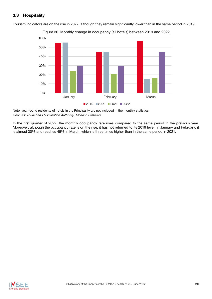# <span id="page-29-0"></span>3.3 Hospitality

Tourism indicators are on the rise in 2022, although they remain significantly lower than in the same period in 2019.



Figure 30. Monthly change in occupancy (all hotels) between 2019 and 2022

Note: year-round residents of hotels in the Principality are not included in the monthly statistics. Sources: Tourist and Convention Authority, Monaco Statistics

In the first quarter of 2022, the monthly occupancy rate rises compared to the same period in the previous year. Moreover, although the occupancy rate is on the rise, it has not returned to its 2019 level. In January and February, it is almost 30% and reaches 45% in March, which is three times higher than in the same period in 2021.

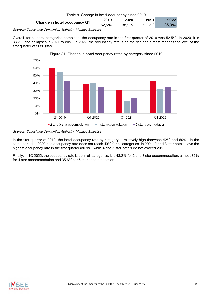| Table 8. Change in hotel occupancy since 2019 |       |       |       |          |  |  |
|-----------------------------------------------|-------|-------|-------|----------|--|--|
|                                               | 2019  | 2020  | 2021  | 2022     |  |  |
| Change in hotel occupancy Q1                  | 52,5% | 38.2% | 20.2% | $35.0\%$ |  |  |

Sources: Tourist and Convention Authority, Monaco Statistics

Overall, for all hotel categories combined, the occupancy rate in the first quarter of 2019 was 52.5%. In 2020, it is 38.2% and collapses in 2021 to 20%. In 2022, the occupancy rate is on the rise and almost reaches the level of the first quarter of 2020 (35%).



#### Sources: Tourist and Convention Authority, Monaco Statistics

In the first quarter of 2019, the hotel occupancy rate by category is relatively high (between 42% and 60%). In the same period in 2020, the occupancy rate does not reach 40% for all categories. In 2021, 2 and 3 star hotels have the highest occupancy rate in the first quarter (30.9%) while 4 and 5 star hotels do not exceed 20%.

Finally, in 1Q 2022, the occupancy rate is up in all categories. It is 43.2% for 2 and 3 star accommodation, almost 32% for 4 star accommodation and 35.6% for 5 star accommodation.

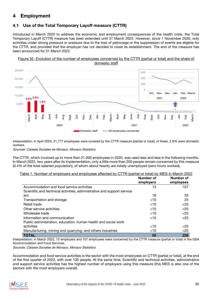# <span id="page-31-0"></span>4 Employment

# <span id="page-31-1"></span>4.1 Use of the Total Temporary Layoff measure (CTTR)

Introduced in March 2020 to address the economic and employment consequences of the health crisis, the Total Temporary Layoff (CTTR) measure has been extended until 31 March 2022. However, since 1 November 2020, only activities under strong pressure or pressure due to the loss of patronage or the suppression of events are eligible for the CTTR, and provided that the employer has not decided to close its establishment. The end of the measure has been announced for 31 March 2022.





Interpretation: in April 2020, 21,777 employees were covered by the CTTR measure (partial or total); of these, 2.8% were domestic workers.

Sources: Caisses Sociales de Monaco, Monaco Statistics

The CTTR, which involved up to more than 21,000 employees in 2020, was used less and less in the following months. In March 2022, two years after its implementation, only a little more than 200 people remain concerned by this measure (0.4% of the total salaried population), of whom about twenty are totally unemployed (zero hours worked).

#### Table 1. Number of employers and employees affected by CTTR (partial or total) by MES in March 2022

|                                                                         | Number of<br>employers | Number of<br>employees |
|-------------------------------------------------------------------------|------------------------|------------------------|
| Accommodation and food service activities                               | 13                     | 107                    |
| Scientific and technical activities, administrative and support service |                        |                        |
| act.                                                                    | 16                     | 33                     |
| Transportation and storage                                              | <10                    | 25                     |
| Retail trade                                                            | <10                    | $<$ 25                 |
| Other service activities                                                | <10                    | $<$ 25                 |
| Wholesale trade                                                         | <10                    | $<$ 25                 |
| Information and communication                                           | <10                    | $<$ 25                 |
| Public administration, education, human health and social work          |                        |                        |
| activities                                                              | <10                    | $<$ 25                 |
| Manufacturing, mining and quarrying, and others industries              | <10                    | $<$ 25                 |
| TOTAL                                                                   | 55                     | 238                    |

Interpretation: in March 2022, 13 employers and 107 employees were concerned by the CTTR measure (partial or total) in the GSA Accommodation and Food Services.

Sources: Caisses Sociales de Monaco, Monaco Statistics

Accommodation and food service activities is the sector with the most employees on CTTR (partial or total), at the end of the first quarter of 2022, with over 100 people. At the same time, Scientific and technical activities, administrative and support service activities has the highest number of employers using this measure (this MES is also one of the sectors with the most employers overall).

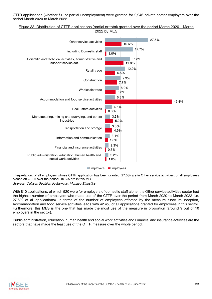CTTR applications (whether full or partial unemployment) were granted for 2,946 private sector employers over the period March 2020 to March 2022.



Figure 33. Distribution of CTTR applications (partial or total) granted over the period March 2020 – March 2022 by MES



Interpretation: of all employers whose CTTR application has been granted, 27.5% are in Other service activities; of all employees placed on CTTR over the period, 10.6% are in this MES.

Sources: Caisses Sociales de Monaco, Monaco Statistics

With 810 applications, of which 520 were for employers of domestic staff alone, the Other service activities sector had the highest number of employers who made use of the CTTR over the period from March 2020 to March 2022 (i.e. 27.5% of all applications). In terms of the number of employees affected by the measure since its inception, Accommodation and food service activities leads with 42.4% of all applications granted for employees in this sector. Furthermore, this MES is the one that has made the most use of the measure in proportion (around 9 out of 10 employers in the sector).

Public administration, education, human health and social work activities and Financial and insurance activities are the sectors that have made the least use of the CTTR measure over the whole period.

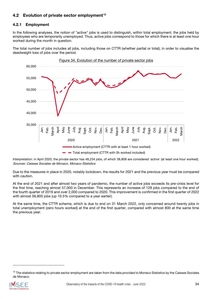# <span id="page-33-0"></span>4.2 Evolution of private sector employment<sup>[12](#page-33-1)</sup>

## 4.2.1 Employment

In the following analyses, the notion of "active" jobs is used to distinguish, within total employment, the jobs held by employees who are temporarily unemployed. Thus, active jobs correspond to those for which there is at least one hour worked during the month in question.

The total number of jobs includes all jobs, including those on CTTR (whether partial or total), in order to visualise the deadweight loss of jobs over the period.



Interpretation: in April 2020, the private sector has 48,234 jobs, of which 38,808 are considered 'active' (at least one hour worked). Sources: Caisses Sociales de Monaco, Monaco Statistics

Due to the measures in place in 2020, notably lockdown, the results for 2021 and the previous year must be compared with caution.

At the end of 2021 and after almost two years of pandemic, the number of active jobs exceeds its pre-crisis level for the first time, reaching almost 57,000 in December. This represents an increase of 128 jobs compared to the end of the fourth quarter of 2019 and over 2,000 compared to 2020. This improvement is confirmed in the first quarter of 2022 with almost 56,800 jobs (up 10.5% compared to a year earlier).

At the same time, the CTTR scheme, which is due to end on 31 March 2022, only concerned around twenty jobs in total unemployment (zero hours worked) at the end of the first quarter, compared with almost 800 at the same time the previous year.

<span id="page-33-1"></span><sup>&</sup>lt;sup>12</sup> The statistics relating to private sector employment are taken from the data provided to Monaco Statistics by the Caisses Sociales de Monaco.

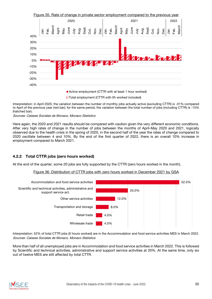

Interpretation: in April 2020, the variation between the number of monthly jobs actually active (excluding CTTR) is -31% compared to April of the previous year (red bar); for the same period, the variation between the total number of jobs (including CTTR) is -15% (hatched bar).

Sources: Caisses Sociales de Monaco, Monaco Statistics

Here again, the 2020 and 2021 results should be compared with caution given the very different economic conditions. After very high rates of change in the number of jobs between the months of April-May 2020 and 2021, logically observed due to the health crisis in the spring of 2020, in the second half of the year the rates of change compared to 2020 oscillate between 4 and 10%. By the end of the first quarter of 2022, there is an overall 10% increase in employment compared to March 2021.

# 4.2.2 Total CTTR jobs (zero hours worked)

At the end of the quarter, some 20 jobs are fully supported by the CTTR (zero hours worked in the month).

#### Figure 36. Distribution of CTTR jobs with zero hours worked in December 2021 by GSA



Interpretation: 52% of total CTTR jobs (0 hours worked) are in the Accommodation and food service activities MES in March 2022. Sources: Caisses Sociales de Monaco, Monaco Statistics

More than half of all unemployed jobs are in Accommodation and food service activities in March 2022. This is followed by Scientific and technical activities, administrative and support service activities at 20%. At the same time, only six out of twelve MES are still affected by total CTTR.

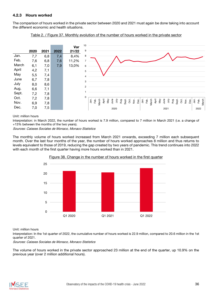# 4.2.3 Hours worked

The comparison of hours worked in the private sector between 2020 and 2021 must again be done taking into account the different economic and health situations.





#### Unit: million hours

Interpretation: in March 2022, the number of hours worked is 7.9 million, compared to 7 million in March 2021 (i.e. a change of +13% between the months of the two years).

Sources: Caisses Sociales de Monaco, Monaco Statistics

The monthly volume of hours worked increased from March 2021 onwards, exceeding 7 million each subsequent month. Over the last four months of the year, the number of hours worked approaches 8 million and thus returns to levels equivalent to those of 2019, reducing the gap created by two years of pandemic. This trend continues into 2022 with each month of the first quarter having more hours worked than in 2021.



Figure 38. Change in the number of hours worked in the first quarter

Unit: million hours

Interpretation: In the 1st quarter of 2022, the cumulative number of hours worked is 22.9 million, compared to 20.6 million in the 1st quarter of 2021.

Sources: Caisses Sociales de Monaco, Monaco Statistics

The volume of hours worked in the private sector approached 23 million at the end of the quarter, up 10.9% on the previous year (over 2 million additional hours).

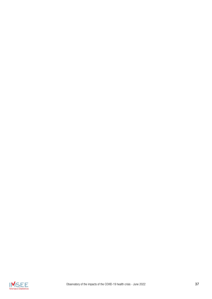